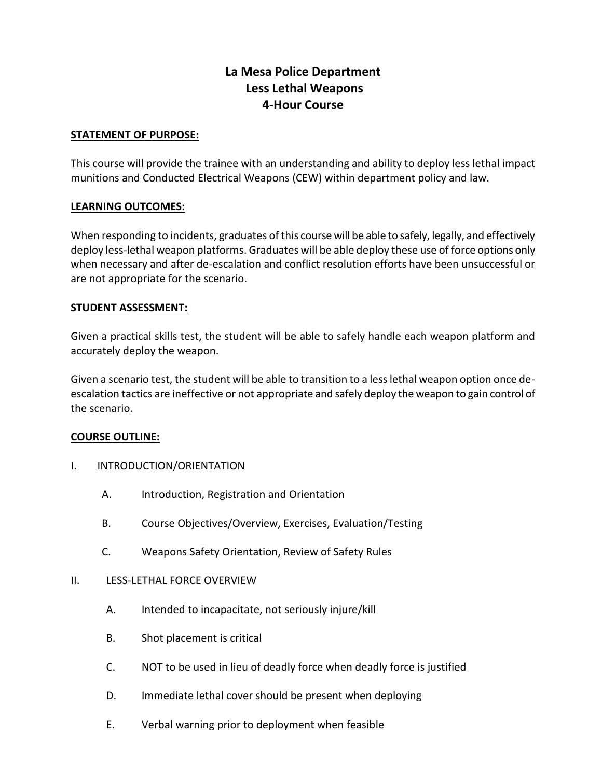# **La Mesa Police Department Less Lethal Weapons 4-Hour Course**

# **STATEMENT OF PURPOSE:**

This course will provide the trainee with an understanding and ability to deploy less lethal impact munitions and Conducted Electrical Weapons (CEW) within department policy and law.

# **LEARNING OUTCOMES:**

When responding to incidents, graduates of this course will be able to safely, legally, and effectively deploy less-lethal weapon platforms. Graduates will be able deploy these use of force options only when necessary and after de-escalation and conflict resolution efforts have been unsuccessful or are not appropriate for the scenario.

# **STUDENT ASSESSMENT:**

Given a practical skills test, the student will be able to safely handle each weapon platform and accurately deploy the weapon.

Given a scenario test, the student will be able to transition to a less lethal weapon option once deescalation tactics are ineffective or not appropriate and safely deploy the weapon to gain control of the scenario.

# **COURSE OUTLINE:**

- I. INTRODUCTION/ORIENTATION
	- A. Introduction, Registration and Orientation
	- B. Course Objectives/Overview, Exercises, Evaluation/Testing
	- C. Weapons Safety Orientation, Review of Safety Rules

# II. **IFSS-LETHAL FORCE OVERVIEW**

- A. Intended to incapacitate, not seriously injure/kill
- B. Shot placement is critical
- C. NOT to be used in lieu of deadly force when deadly force is justified
- D. Immediate lethal cover should be present when deploying
- E. Verbal warning prior to deployment when feasible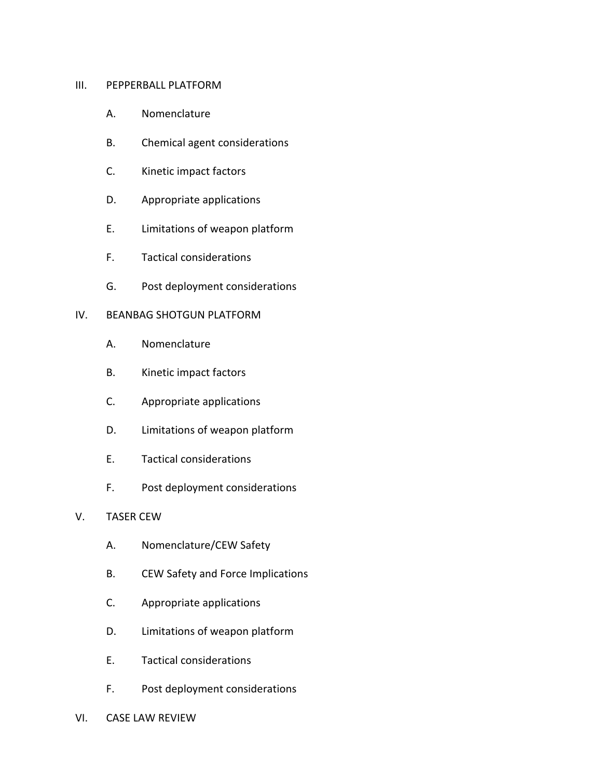#### III. PEPPERBALL PLATFORM

- A. Nomenclature
- B. Chemical agent considerations
- C. Kinetic impact factors
- D. Appropriate applications
- E. Limitations of weapon platform
- F. Tactical considerations
- G. Post deployment considerations

### IV. BEANBAG SHOTGUN PLATFORM

- A. Nomenclature
- B. Kinetic impact factors
- C. Appropriate applications
- D. Limitations of weapon platform
- E. Tactical considerations
- F. Post deployment considerations

# V. TASER CEW

- A. Nomenclature/CEW Safety
- B. CEW Safety and Force Implications
- C. Appropriate applications
- D. Limitations of weapon platform
- E. Tactical considerations
- F. Post deployment considerations
- VI. CASE LAW REVIEW